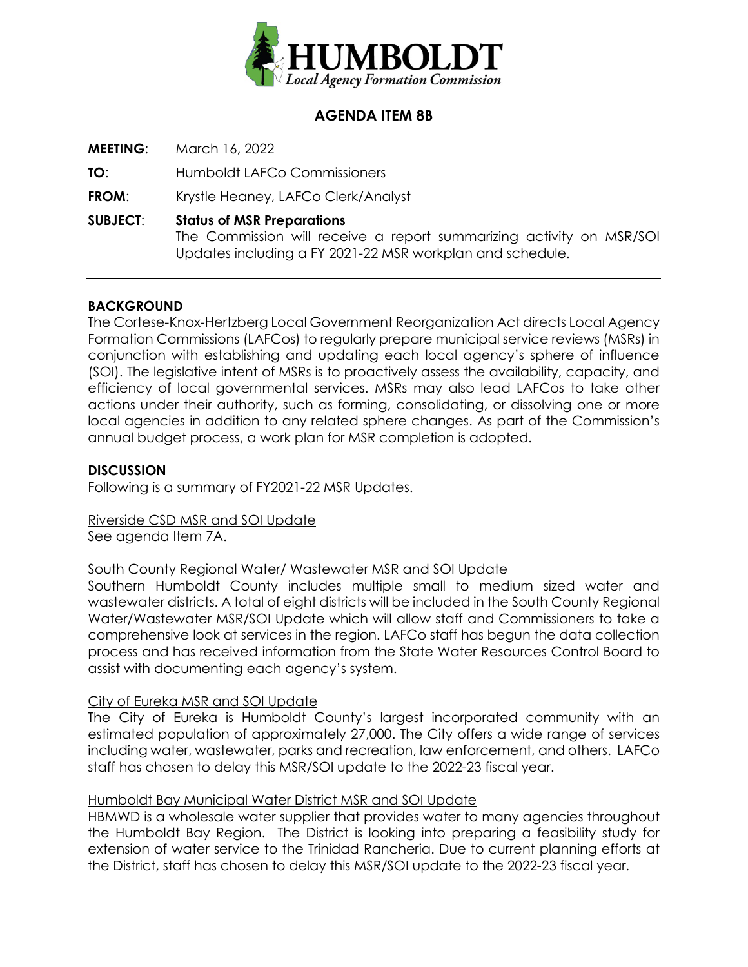

# **AGENDA ITEM 8B**

**MEETING**: March 16, 2022

**TO**: Humboldt LAFCo Commissioners

**FROM**: Krystle Heaney, LAFCo Clerk/Analyst

**SUBJECT**: **Status of MSR Preparations**

The Commission will receive a report summarizing activity on MSR/SOI Updates including a FY 2021-22 MSR workplan and schedule.

### **BACKGROUND**

The Cortese-Knox-Hertzberg Local Government Reorganization Act directs Local Agency Formation Commissions (LAFCos) to regularly prepare municipal service reviews (MSRs) in conjunction with establishing and updating each local agency's sphere of influence (SOI). The legislative intent of MSRs is to proactively assess the availability, capacity, and efficiency of local governmental services. MSRs may also lead LAFCos to take other actions under their authority, such as forming, consolidating, or dissolving one or more local agencies in addition to any related sphere changes. As part of the Commission's annual budget process, a work plan for MSR completion is adopted.

### **DISCUSSION**

Following is a summary of FY2021-22 MSR Updates.

Riverside CSD MSR and SOI Update See agenda Item 7A.

### South County Regional Water/ Wastewater MSR and SOI Update

Southern Humboldt County includes multiple small to medium sized water and wastewater districts. A total of eight districts will be included in the South County Regional Water/Wastewater MSR/SOI Update which will allow staff and Commissioners to take a comprehensive look at services in the region. LAFCo staff has begun the data collection process and has received information from the State Water Resources Control Board to assist with documenting each agency's system.

### City of Eureka MSR and SOI Update

The City of Eureka is Humboldt County's largest incorporated community with an estimated population of approximately 27,000. The City offers a wide range of services including water, wastewater, parks and recreation, law enforcement, and others. LAFCo staff has chosen to delay this MSR/SOI update to the 2022-23 fiscal year.

### Humboldt Bay Municipal Water District MSR and SOI Update

HBMWD is a wholesale water supplier that provides water to many agencies throughout the Humboldt Bay Region. The District is looking into preparing a feasibility study for extension of water service to the Trinidad Rancheria. Due to current planning efforts at the District, staff has chosen to delay this MSR/SOI update to the 2022-23 fiscal year.